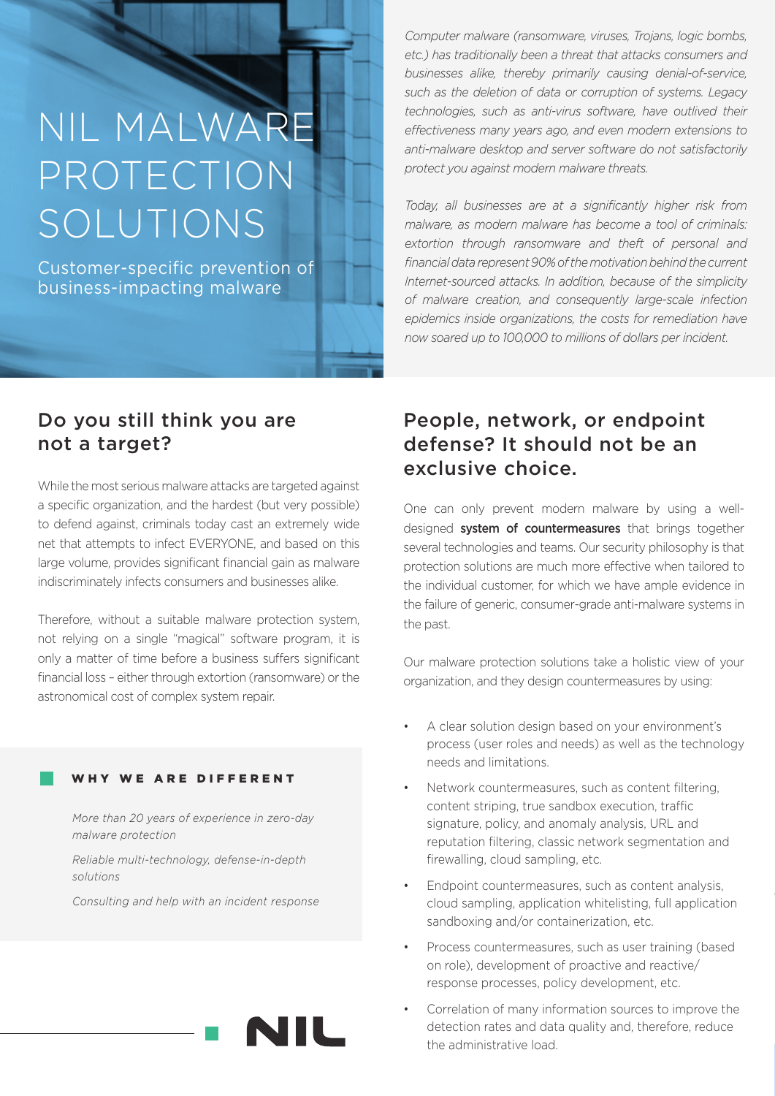# NIL MALWARE PROTECTION SOLUTIONS

Customer-specific prevention of business-impacting malware

*Computer malware (ransomware, viruses, Trojans, logic bombs, etc.) has traditionally been a threat that attacks consumers and businesses alike, thereby primarily causing denial-of-service, such as the deletion of data or corruption of systems. Legacy technologies, such as anti-virus software, have outlived their effectiveness many years ago, and even modern extensions to anti-malware desktop and server software do not satisfactorily protect you against modern malware threats.*

*Today, all businesses are at a significantly higher risk from malware, as modern malware has become a tool of criminals: extortion through ransomware and theft of personal and financial data represent 90% of the motivation behind the current Internet-sourced attacks. In addition, because of the simplicity of malware creation, and consequently large-scale infection epidemics inside organizations, the costs for remediation have now soared up to 100,000 to millions of dollars per incident.*

## Do you still think you are not a target?

While the most serious malware attacks are targeted against a specific organization, and the hardest (but very possible) to defend against, criminals today cast an extremely wide net that attempts to infect EVERYONE, and based on this large volume, provides significant financial gain as malware indiscriminately infects consumers and businesses alike.

Therefore, without a suitable malware protection system, not relying on a single "magical" software program, it is only a matter of time before a business suffers significant financial loss – either through extortion (ransomware) or the astronomical cost of complex system repair.

### WHY WE ARE DIFFERENT

*More than 20 years of experience in zero-day malware protection*

*Reliable multi-technology, defense-in-depth solutions*

*Consulting and help with an incident response*



# People, network, or endpoint defense? It should not be an exclusive choice.

One can only prevent modern malware by using a welldesigned system of countermeasures that brings together several technologies and teams. Our security philosophy is that protection solutions are much more effective when tailored to the individual customer, for which we have ample evidence in the failure of generic, consumer-grade anti-malware systems in the past.

Our malware protection solutions take a holistic view of your organization, and they design countermeasures by using:

- A clear solution design based on your environment's process (user roles and needs) as well as the technology needs and limitations.
- Network countermeasures, such as content filtering, content striping, true sandbox execution, traffic signature, policy, and anomaly analysis, URL and reputation filtering, classic network segmentation and firewalling, cloud sampling, etc.
- Endpoint countermeasures, such as content analysis, cloud sampling, application whitelisting, full application sandboxing and/or containerization, etc.
- Process countermeasures, such as user training (based on role), development of proactive and reactive/ response processes, policy development, etc.
- Correlation of many information sources to improve the detection rates and data quality and, therefore, reduce the administrative load.